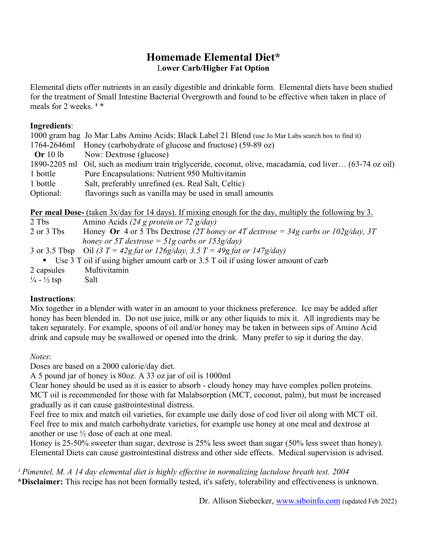# **Homemade Elemental Diet\*** L**ower Carb/Higher Fat Option**

Elemental diets offer nutrients in an easily digestible and drinkable form. Elemental diets have been studied for the treatment of Small Intestine Bacterial Overgrowth and found to be effective when taken in place of meals for 2 weeks.<sup>1\*</sup>

#### **Ingredients**:

|              | 1000 gram bag Jo Mar Labs Amino Acids: Black Label 21 Blend (use Jo Mar Labs search box to find it) |
|--------------|-----------------------------------------------------------------------------------------------------|
|              | 1764-2646ml Honey (carbohydrate of glucose and fructose) (59-89 oz)                                 |
| Or $10lb$    | Now: Dextrose (glucose)                                                                             |
| 1890-2205 ml | Oil, such as medium train triglyceride, coconut, olive, macadamia, cod liver (63-74 oz oil)         |
| 1 bottle     | Pure Encapsulations: Nutrient 950 Multivitamin                                                      |
| 1 bottle     | Salt, preferably unrefined (ex. Real Salt, Celtic)                                                  |
| Optional:    | flavorings such as vanilla may be used in small amounts                                             |

**Per meal Dose-** (taken 3x/day for 14 days). If mixing enough for the day, multiply the following by 3.

| 2 Tbs      | Amino Acids (24 g protein or 72 g/day)                                               |
|------------|--------------------------------------------------------------------------------------|
| 2 or 3 Tbs | Honey Or 4 or 5 Tbs Dextrose (2T honey or 4T dextrose = 34g carbs or $102g/day$ , 3T |
|            | honey or 5T dextrose = 51g carbs or 153g/day)                                        |
|            | 3 or 3.5 Tbsp Oil (3 $T = 42g$ fat or 126g/day, 3.5 $T = 49g$ fat or 147g/day)       |
|            | • Use 3 T oil if using higher amount carb or 3.5 T oil if using lower amount of carb |
| 2 capsules | Multivitamin                                                                         |
| 1 / 1 / 1  |                                                                                      |

 $\frac{1}{4} - \frac{1}{2}$  tsp Salt

## **Instructions**:

Mix together in a blender with water in an amount to your thickness preference. Ice may be added after honey has been blended in. Do not use juice, milk or any other liquids to mix it. All ingredients may be taken separately. For example, spoons of oil and/or honey may be taken in between sips of Amino Acid drink and capsule may be swallowed or opened into the drink. Many prefer to sip it during the day.

#### *Notes*:

Doses are based on a 2000 calorie/day diet.

A 5 pound jar of honey is 80oz. A 33 oz jar of oil is 1000ml

Clear honey should be used as it is easier to absorb - cloudy honey may have complex pollen proteins. MCT oil is recommended for those with fat Malabsorption (MCT, coconut, palm), but must be increased gradually as it can cause gastrointestinal distress.

Feel free to mix and match oil varieties, for example use daily dose of cod liver oil along with MCT oil. Feel free to mix and match carbohydrate varieties, for example use honey at one meal and dextrose at another or use ½ dose of each at one meal.

Honey is 25-50% sweeter than sugar, dextrose is 25% less sweet than sugar (50% less sweet than honey). Elemental Diets can cause gastrointestinal distress and other side effects. Medical supervision is advised.

*¹ Pimentel, M. A 14 day elemental diet is highly effective in normalizing lactulose breath test. 2004* **\*Disclaimer:** This recipe has not been formally tested, it's safety, tolerability and effectiveness is unknown.

Dr. Allison Siebecker, [www.siboinfo.com](http://www.siboinfo.com/) (updated Feb 2022)